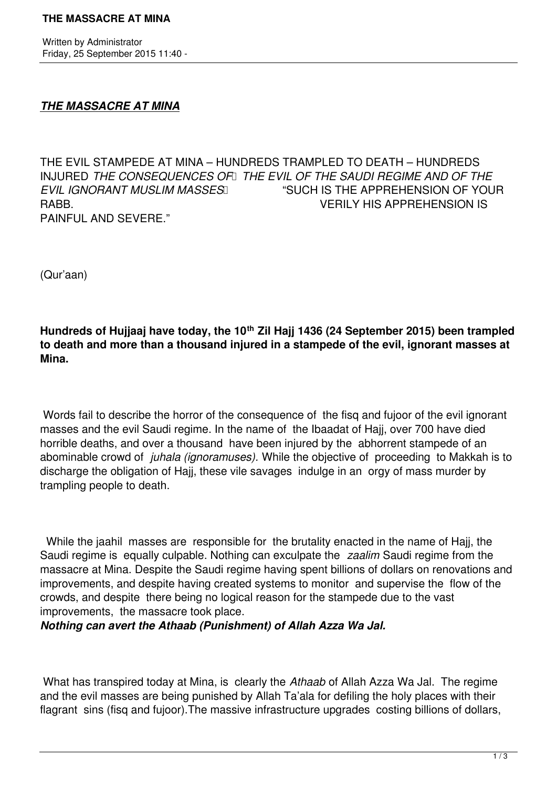Written by Administrator Friday, 25 September 2015 11:40 -

## *THE MASSACRE AT MINA*

THE EVIL STAMPEDE AT MINA – HUNDREDS TRAMPLED TO DEATH – HUNDREDS INJURED *THE CONSEQUENCES OF THE EVIL OF THE SAUDI REGIME AND OF THE EVIL IGNORANT MUSLIM MASSES*  "SUCH IS THE APPREHENSION OF YOUR RABB. VERILY HIS APPREHENSION IS PAINFUL AND SEVERE."

(Qur'aan)

**Hundreds of Hujjaaj have today, the 10th Zil Hajj 1436 (24 September 2015) been trampled to death and more than a thousand injured in a stampede of the evil, ignorant masses at Mina.** 

Words fail to describe the horror of the consequence of the fisq and fujoor of the evil ignorant masses and the evil Saudi regime. In the name of the Ibaadat of Hajj, over 700 have died horrible deaths, and over a thousand have been injured by the abhorrent stampede of an abominable crowd of *juhala (ignoramuses).* While the objective of proceeding to Makkah is to discharge the obligation of Hajj, these vile savages indulge in an orgy of mass murder by trampling people to death.

 While the jaahil masses are responsible for the brutality enacted in the name of Hajj, the Saudi regime is equally culpable. Nothing can exculpate the *zaalim* Saudi regime from the massacre at Mina. Despite the Saudi regime having spent billions of dollars on renovations and improvements, and despite having created systems to monitor and supervise the flow of the crowds, and despite there being no logical reason for the stampede due to the vast improvements, the massacre took place.

*Nothing can avert the Athaab (Punishment) of Allah Azza Wa Jal.*

What has transpired today at Mina, is clearly the *Athaab* of Allah Azza Wa Jal. The regime and the evil masses are being punished by Allah Ta'ala for defiling the holy places with their flagrant sins (fisq and fujoor).The massive infrastructure upgrades costing billions of dollars,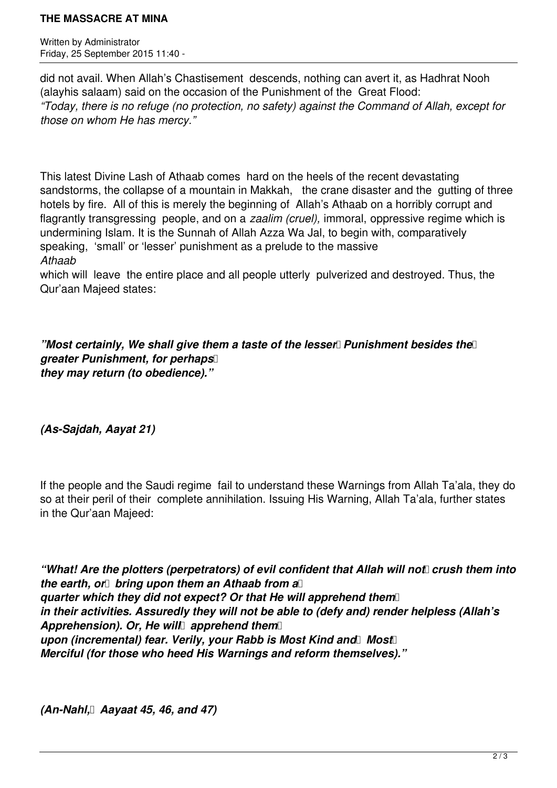## **THE MASSACRE AT MINA**

Written by Administrator Friday, 25 September 2015 11:40 -

did not avail. When Allah's Chastisement descends, nothing can avert it, as Hadhrat Nooh (alayhis salaam) said on the occasion of the Punishment of the Great Flood: *"Today, there is no refuge (no protection, no safety) against the Command of Allah, except for those on whom He has mercy."*

This latest Divine Lash of Athaab comes hard on the heels of the recent devastating sandstorms, the collapse of a mountain in Makkah, the crane disaster and the gutting of three hotels by fire. All of this is merely the beginning of Allah's Athaab on a horribly corrupt and flagrantly transgressing people, and on a *zaalim (cruel),* immoral, oppressive regime which is undermining Islam. It is the Sunnah of Allah Azza Wa Jal, to begin with, comparatively speaking, 'small' or 'lesser' punishment as a prelude to the massive *Athaab*

which will leave the entire place and all people utterly pulverized and destroyed. Thus, the Qur'aan Majeed states:

*"Most certainly, We shall give them a taste of the lesser* Punishment besides the *greater Punishment, for perhaps they may return (to obedience)."*

*(As-Sajdah, Aayat 21)* 

If the people and the Saudi regime fail to understand these Warnings from Allah Ta'ala, they do so at their peril of their complete annihilation. Issuing His Warning, Allah Ta'ala, further states in the Qur'aan Majeed:

*"What! Are the plotters (perpetrators) of evil confident that Allah will not crush them into the earth, or bring upon them an Athaab from a quarter which they did not expect? Or that He will apprehend them in their activities. Assuredly they will not be able to (defy and) render helpless (Allah's Apprehension). Or, He will apprehend them*  upon (incremental) fear. Verily, your Rabb is Most Kind and Most *Merciful (for those who heed His Warnings and reform themselves)."*

*(An-Nahl, Aayaat 45, 46, and 47)*